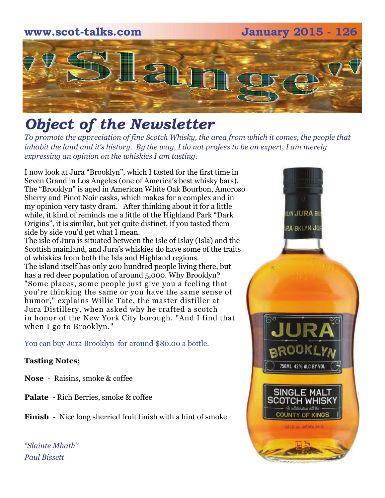# **www.scot-talks.com January 2015 - 126** [2]

## *Object of the Newsletter*

*To promote the appreciation of fine Scotch Whisky, the area from which it comes, the people that inhabit the land and it's history. By the way, I do not profess to be an expert, I am merely expressing an opinion on the whiskies I am tasting.* 

I now look at Jura "Brooklyn", which I tasted for the first time in Seven Grand in Los Angeles (one of America's best whisky bars). The "Brooklyn" is aged in American White Oak Bourbon, Amoroso Sherry and Pinot Noir casks, which makes for a complex and in my opinion very tasty dram. After thinking about it for a little while, it kind of reminds me a little of the Highland Park "Dark Origins", it is similar, but yet quite distinct, if you tasted them side by side you'd get what I mean.

The isle of Jura is situated between the Isle of Islay (Isla) and the Scottish mainland, and Jura's whiskies do have some of the traits of whiskies from both the Isla and Highland regions. The island itself has only 200 hundred people living there, but has a red deer population of around 5,000. Why Brooklyn? "Some places, some people just give you a feeling that you're thinking the same or you have the same sense of humor," explains Willie Tate, the master distiller at Jura Distillery, when asked why he crafted a scotch in honor of the New York City borough. "And I find that when I go to Brooklyn."

You can buy Jura Brooklyn for around \$80.00 a bottle.

#### **Tasting Notes;**

- **Nose**  Raisins, smoke & coffee
- **Palate**  Rich Berries, smoke & coffee

**Finish** - Nice long sherried fruit finish with a hint of smoke

*"Slainte Mhath" Paul Bissett*

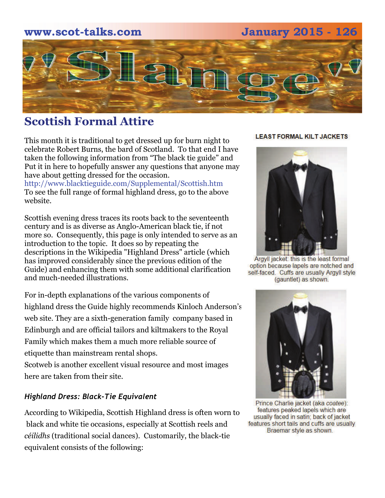#### **www.scot-talks.com January 2015 - 126**



#### **Scottish Formal Attire**

This month it is traditional to get dressed up for burn night to celebrate Robert Burns, the bard of Scotland. To that end I have taken the following information from "The black tie guide" and Put it in here to hopefully answer any questions that anyone may have about getting dressed for the occasion.

http://www.blacktieguide.com/Supplemental/Scottish.htm To see the full range of formal highland dress, go to the above website.

Scottish evening dress traces its roots back to the seventeenth century and is as diverse as Anglo-American black tie, if not more so. Consequently, this page is only intended to serve as an introduction to the topic. It does so by repeating the descriptions in the Wikipedia "Highland Dress" article (which has improved considerably since the previous edition of the Guide) and enhancing them with some additional clarification and much-needed illustrations.

For in-depth explanations of the various components of highland dress the Guide highly recommends Kinloch Anderson's web site. They are a sixth-generation family company based in Edinburgh and are official tailors and kiltmakers to the Royal Family which makes them a much more reliable source of etiquette than mainstream rental shops.

[Scotweb](http://www.scotweb.co.uk/) is another excellent visual resource and most images here are taken from their site.

#### *Highland Dress: Black-Tie Equivalent*

According to Wikipedia, Scottish Highland dress is often worn to black and white tie occasions, especially at Scottish reels and *céilidhs* (traditional social dances). Customarily, the black-tie equivalent consists of the following:

#### **LEAST FORMAL KILT JACKETS**



Argyll jacket: this is the least formal option because lapels are notched and self-faced. Cuffs are usually Argyll style (gauntlet) as shown.



Prince Charlie jacket (aka coatee): features peaked lapels which are usually faced in satin; back of jacket features short tails and cuffs are usually Braemar style as shown.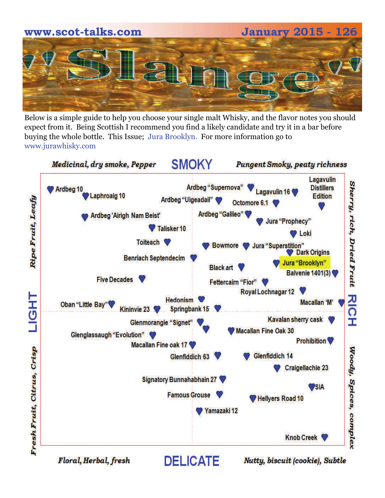# **www.scot-talks.com January 2015 - 126**

Below is a simple guide to help you choose your single malt Whisky, and the flavor notes you should expect from it. Being Scottish I recommend you find a likely candidate and try it in a bar before buying the whole bottle. This Issue; Jura Brooklyn. For more information go to www.jurawhisky.com



Floral, Herbal, fresh

Nutty, biscuit (cookie), Subtle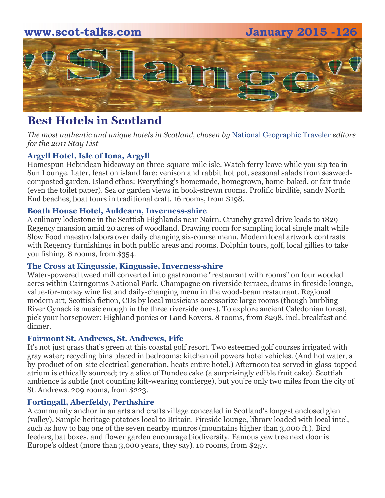

### **Best Hotels in Scotland**

*The most authentic and unique hotels in Scotland, chosen by* [National Geographic Traveler](http://traveler.nationalgeographic.com/) *editors for the 2011 Stay List*

#### **[Argyll Hotel, Isle of Iona, Argyll](http://www.argyllhoteliona.co.uk/)**

Homespun Hebridean hideaway on three-square-mile isle. Watch ferry leave while you sip tea in Sun Lounge. Later, feast on island fare: venison and rabbit hot pot, seasonal salads from seaweedcomposted garden. Island ethos: Everything's homemade, homegrown, home-baked, or fair trade (even the toilet paper). Sea or garden views in book-strewn rooms. Prolific birdlife, sandy North End beaches, boat tours in traditional craft. 16 rooms, from \$198.

#### **[Boath House Hotel, Auldearn, Inverness-shire](http://www.boath-house.com/)**

A culinary lodestone in the Scottish Highlands near Nairn. Crunchy gravel drive leads to 1829 Regency mansion amid 20 acres of woodland. Drawing room for sampling local single malt while Slow Food maestro labors over daily changing six-course menu. Modern local artwork contrasts with Regency furnishings in both public areas and rooms. Dolphin tours, golf, local gillies to take you fishing. 8 rooms, from \$354.

#### **[The Cross at Kingussie, Kingussie, Inverness-shire](http://www.thecross.co.uk/)**

Water-powered tweed mill converted into gastronome "restaurant with rooms" on four wooded acres within Cairngorms National Park. Champagne on riverside terrace, drams in fireside lounge, value-for-money wine list and daily-changing menu in the wood-beam restaurant. Regional modern art, Scottish fiction, CDs by local musicians accessorize large rooms (though burbling River Gynack is music enough in the three riverside ones). To explore ancient Caledonian forest, pick your horsepower: Highland ponies or Land Rovers. 8 rooms, from \$298, incl. breakfast and dinner.

#### **[Fairmont St. Andrews, St. Andrews, Fife](http://www.fairmont.com/standrews)**

It's not just grass that's green at this coastal golf resort. Two esteemed golf courses irrigated with gray water; recycling bins placed in bedrooms; kitchen oil powers hotel vehicles. (And hot water, a by-product of on-site electrical generation, heats entire hotel.) Afternoon tea served in glass-topped atrium is ethically sourced; try a slice of Dundee cake (a surprisingly edible fruit cake). Scottish ambience is subtle (not counting kilt-wearing concierge), but you're only two miles from the city of St. Andrews. 209 rooms, from \$223.

#### **[Fortingall, Aberfeldy, Perthshire](http://www.fortingallhotel.com/)**

A community anchor in an arts and crafts village concealed in Scotland's longest enclosed glen (valley). Sample heritage potatoes local to Britain. Fireside lounge, library loaded with local intel, such as how to bag one of the seven nearby munros (mountains higher than 3,000 ft.). Bird feeders, bat boxes, and flower garden encourage biodiversity. Famous yew tree next door is Europe's oldest (more than 3,000 years, they say). 10 rooms, from \$257.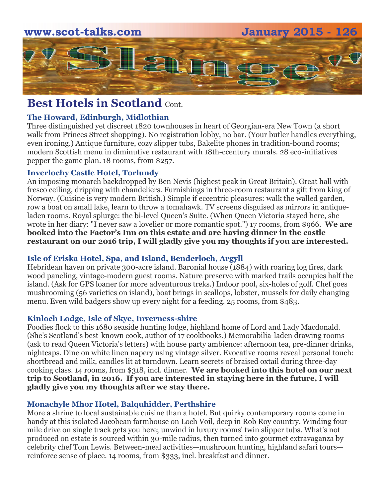

#### **Best Hotels in Scotland Cont.**

#### **[The Howard, Edinburgh, Midlothian](http://www.thehoward.com/)**

Three distinguished yet discreet 1820 townhouses in heart of Georgian-era New Town (a short walk from Princes Street shopping). No registration lobby, no bar. (Your butler handles everything, even ironing.) Antique furniture, cozy slipper tubs, Bakelite phones in tradition-bound rooms; modern Scottish menu in diminutive restaurant with 18th-ccentury murals. 28 eco-initiatives pepper the game plan. 18 rooms, from \$257.

#### **[Inverlochy Castle Hotel, Torlundy](http://www.inverlochycastlehotel.com/)**

An imposing monarch backdropped by Ben Nevis (highest peak in Great Britain). Great hall with fresco ceiling, dripping with chandeliers. Furnishings in three-room restaurant a gift from king of Norway. (Cuisine is very modern British.) Simple if eccentric pleasures: walk the walled garden, row a boat on small lake, learn to throw a tomahawk. TV screens disguised as mirrors in antiqueladen rooms. Royal splurge: the bi-level Queen's Suite. (When Queen Victoria stayed here, she wrote in her diary: "I never saw a lovelier or more romantic spot.") 17 rooms, from \$966. **We are booked into the Factor's Inn on this estate and are having dinner in the castle restaurant on our 2016 trip, I will gladly give you my thoughts if you are interested.** 

#### **[Isle of Eriska Hotel, Spa, and Island, Benderloch, Argyll](http://www.eriska-hotel.co.uk/)**

Hebridean haven on private 300-acre island. Baronial house (1884) with roaring log fires, dark wood paneling, vintage-modern guest rooms. Nature preserve with marked trails occupies half the island. (Ask for GPS loaner for more adventurous treks.) Indoor pool, six-holes of golf. Chef goes mushrooming (56 varieties on island), boat brings in scallops, lobster, mussels for daily changing menu. Even wild badgers show up every night for a feeding. 25 rooms, from \$483.

#### **[Kinloch Lodge, Isle of Skye, Inverness-shire](http://www.kinloch-lodge.co.uk/)**

Foodies flock to this 1680 seaside hunting lodge, highland home of Lord and Lady Macdonald. (She's Scotland's best-known cook, author of 17 cookbooks.) Memorabilia-laden drawing rooms (ask to read Queen Victoria's letters) with house party ambience: afternoon tea, pre-dinner drinks, nightcaps. Dine on white linen napery using vintage silver. Evocative rooms reveal personal touch: shortbread and milk, candles lit at turndown. Learn secrets of braised oxtail during three-day cooking class. 14 rooms, from \$318, incl. dinner. **We are booked into this hotel on our next trip to Scotland, in 2016. If you are interested in staying here in the future, I will gladly give you my thoughts after we stay there.** 

#### **[Monachyle Mhor Hotel, Balquhidder, Perthshire](http://www.mhor.net/)**

More a shrine to local sustainable cuisine than a hotel. But quirky contemporary rooms come in handy at this isolated Jacobean farmhouse on Loch Voil, deep in Rob Roy country. Winding fourmile drive on single track gets you here; unwind in luxury rooms' twin slipper tubs. What's not produced on estate is sourced within 30-mile radius, then turned into gourmet extravaganza by celebrity chef Tom Lewis. Between-meal activities—mushroom hunting, highland safari tours reinforce sense of place. 14 rooms, from \$333, incl. breakfast and dinner.